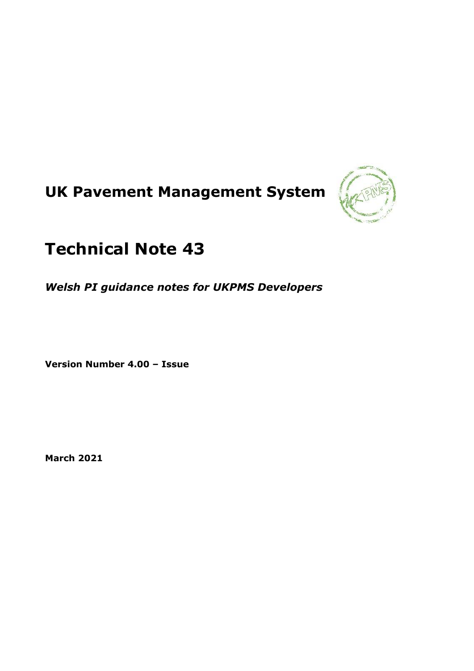# **UK Pavement Management System**



## **Technical Note 43**

*Welsh PI guidance notes for UKPMS Developers*

**Version Number 4.00 – Issue**

**March 2021**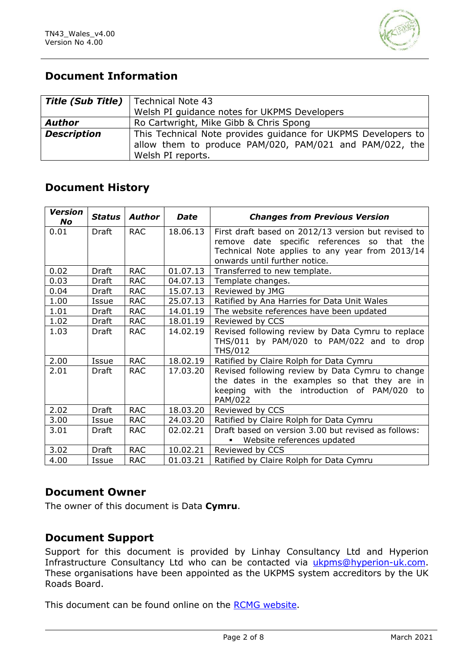

## **Document Information**

| <b>Title (Sub Title)</b>   Technical Note 43 | Welsh PI guidance notes for UKPMS Developers                                                                                                  |  |  |  |  |
|----------------------------------------------|-----------------------------------------------------------------------------------------------------------------------------------------------|--|--|--|--|
| <b>Author</b>                                | Ro Cartwright, Mike Gibb & Chris Spong                                                                                                        |  |  |  |  |
| <b>Description</b>                           | This Technical Note provides guidance for UKPMS Developers to<br>allow them to produce PAM/020, PAM/021 and PAM/022, the<br>Welsh PI reports. |  |  |  |  |

## **Document History**

| <b>Version</b><br>No | <b>Status</b> | <b>Author</b> | <b>Date</b> | <b>Changes from Previous Version</b>                                                                                                                                                   |
|----------------------|---------------|---------------|-------------|----------------------------------------------------------------------------------------------------------------------------------------------------------------------------------------|
| 0.01                 | Draft         | <b>RAC</b>    | 18.06.13    | First draft based on 2012/13 version but revised to<br>remove date specific references so that the<br>Technical Note applies to any year from 2013/14<br>onwards until further notice. |
| 0.02                 | Draft         | <b>RAC</b>    | 01.07.13    | Transferred to new template.                                                                                                                                                           |
| 0.03                 | Draft         | <b>RAC</b>    | 04.07.13    | Template changes.                                                                                                                                                                      |
| 0.04                 | Draft         | <b>RAC</b>    | 15.07.13    | Reviewed by JMG                                                                                                                                                                        |
| 1.00                 | Issue         | <b>RAC</b>    | 25.07.13    | Ratified by Ana Harries for Data Unit Wales                                                                                                                                            |
| 1.01                 | <b>Draft</b>  | <b>RAC</b>    | 14.01.19    | The website references have been updated                                                                                                                                               |
| 1.02                 | Draft         | <b>RAC</b>    | 18.01.19    | Reviewed by CCS                                                                                                                                                                        |
| 1.03                 | Draft         | <b>RAC</b>    | 14.02.19    | Revised following review by Data Cymru to replace<br>THS/011 by PAM/020 to PAM/022 and to drop<br><b>THS/012</b>                                                                       |
| 2.00                 | Issue         | <b>RAC</b>    | 18.02.19    | Ratified by Claire Rolph for Data Cymru                                                                                                                                                |
| 2.01                 | <b>Draft</b>  | <b>RAC</b>    | 17.03.20    | Revised following review by Data Cymru to change<br>the dates in the examples so that they are in<br>keeping with the introduction of PAM/020 to<br>PAM/022                            |
| 2.02                 | Draft         | <b>RAC</b>    | 18.03.20    | Reviewed by CCS                                                                                                                                                                        |
| 3.00                 | Issue         | <b>RAC</b>    | 24.03.20    | Ratified by Claire Rolph for Data Cymru                                                                                                                                                |
| 3.01                 | Draft         | <b>RAC</b>    | 02.02.21    | Draft based on version 3.00 but revised as follows:<br>Website references updated                                                                                                      |
| 3.02                 | <b>Draft</b>  | <b>RAC</b>    | 10.02.21    | Reviewed by CCS                                                                                                                                                                        |
| 4.00                 | Issue         | <b>RAC</b>    | 01.03.21    | Ratified by Claire Rolph for Data Cymru                                                                                                                                                |

## **Document Owner**

The owner of this document is Data **Cymru**.

### **Document Support**

Support for this document is provided by Linhay Consultancy Ltd and Hyperion Infrastructure Consultancy Ltd who can be contacted via [ukpms@hyperion-uk.com.](mailto:ukpms@hyperion-uk.com) These organisations have been appointed as the UKPMS system accreditors by the UK Roads Board.

This document can be found online on the [RCMG website.](https://www.ciht.org.uk/ukrlg-home/guidance/road-condition-information/data-management/uk-pavement-management-system-ukpms/)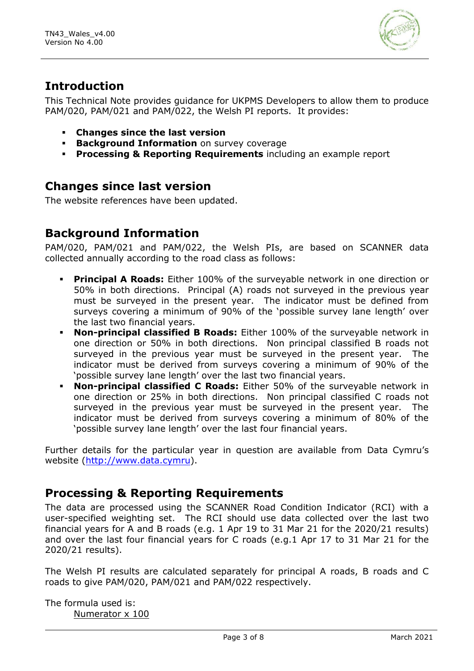

## **Introduction**

This Technical Note provides guidance for UKPMS Developers to allow them to produce PAM/020, PAM/021 and PAM/022, the Welsh PI reports. It provides:

- **Changes since the last version**
- **Background Information** on survey coverage
- **Processing & Reporting Requirements** including an example report

## **Changes since last version**

The website references have been updated.

## **Background Information**

PAM/020, PAM/021 and PAM/022, the Welsh PIs, are based on SCANNER data collected annually according to the road class as follows:

- **Principal A Roads:** Either 100% of the surveyable network in one direction or 50% in both directions. Principal (A) roads not surveyed in the previous year must be surveyed in the present year. The indicator must be defined from surveys covering a minimum of 90% of the 'possible survey lane length' over the last two financial years.
- **Non-principal classified B Roads:** Either 100% of the surveyable network in one direction or 50% in both directions. Non principal classified B roads not surveyed in the previous year must be surveyed in the present year. The indicator must be derived from surveys covering a minimum of 90% of the 'possible survey lane length' over the last two financial years.
- **Non-principal classified C Roads:** Either 50% of the surveyable network in one direction or 25% in both directions. Non principal classified C roads not surveyed in the previous year must be surveyed in the present year. The indicator must be derived from surveys covering a minimum of 80% of the 'possible survey lane length' over the last four financial years.

Further details for the particular year in question are available from Data Cymru's website [\(http://www.data.cymru\)](http://www.data.cymru/).

## **Processing & Reporting Requirements**

The data are processed using the SCANNER Road Condition Indicator (RCI) with a user-specified weighting set. The RCI should use data collected over the last two financial years for A and B roads (e.g. 1 Apr 19 to 31 Mar 21 for the 2020/21 results) and over the last four financial years for C roads (e.g.1 Apr 17 to 31 Mar 21 for the 2020/21 results).

The Welsh PI results are calculated separately for principal A roads, B roads and C roads to give PAM/020, PAM/021 and PAM/022 respectively.

The formula used is: Numerator x 100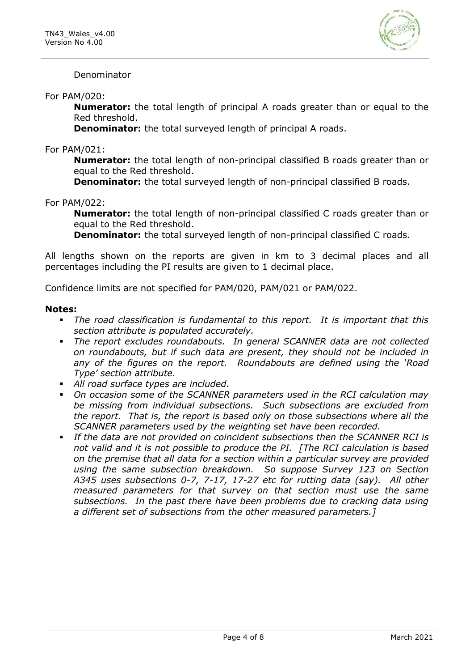

#### Denominator

For PAM/020:

**Numerator:** the total length of principal A roads greater than or equal to the Red threshold.

**Denominator:** the total surveyed length of principal A roads.

#### For PAM/021:

**Numerator:** the total length of non-principal classified B roads greater than or equal to the Red threshold.

**Denominator:** the total surveyed length of non-principal classified B roads.

For PAM/022:

**Numerator:** the total length of non-principal classified C roads greater than or equal to the Red threshold.

**Denominator:** the total surveyed length of non-principal classified C roads.

All lengths shown on the reports are given in km to 3 decimal places and all percentages including the PI results are given to 1 decimal place.

Confidence limits are not specified for PAM/020, PAM/021 or PAM/022.

#### **Notes:**

- *The road classification is fundamental to this report. It is important that this section attribute is populated accurately.*
- *The report excludes roundabouts. In general SCANNER data are not collected on roundabouts, but if such data are present, they should not be included in any of the figures on the report. Roundabouts are defined using the 'Road Type' section attribute.*
- *All road surface types are included.*
- On occasion some of the SCANNER parameters used in the RCI calculation may *be missing from individual subsections. Such subsections are excluded from the report. That is, the report is based only on those subsections where all the SCANNER parameters used by the weighting set have been recorded.*
- *If the data are not provided on coincident subsections then the SCANNER RCI is not valid and it is not possible to produce the PI. [The RCI calculation is based on the premise that all data for a section within a particular survey are provided using the same subsection breakdown. So suppose Survey 123 on Section A345 uses subsections 0-7, 7-17, 17-27 etc for rutting data (say). All other measured parameters for that survey on that section must use the same subsections. In the past there have been problems due to cracking data using a different set of subsections from the other measured parameters.]*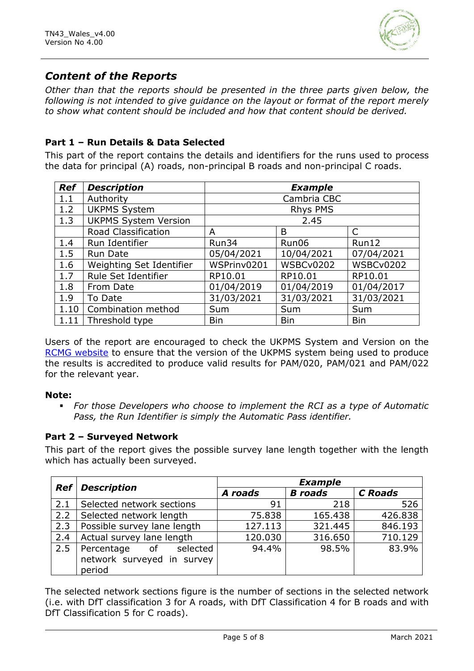

## *Content of the Reports*

*Other than that the reports should be presented in the three parts given below, the following is not intended to give guidance on the layout or format of the report merely to show what content should be included and how that content should be derived.* 

#### **Part 1 – Run Details & Data Selected**

This part of the report contains the details and identifiers for the runs used to process the data for principal (A) roads, non-principal B roads and non-principal C roads.

| <b>Ref</b> | <b>Description</b>          | <b>Example</b> |                  |                  |
|------------|-----------------------------|----------------|------------------|------------------|
| 1.1        | Authority                   |                | Cambria CBC      |                  |
| 1.2        | <b>UKPMS System</b>         |                | Rhys PMS         |                  |
| 1.3        | <b>UKPMS System Version</b> |                | 2.45             |                  |
|            | Road Classification         | A              | B                | $\mathsf{C}$     |
| 1.4        | Run Identifier              | Run34          | Run06            | Run12            |
| 1.5        | Run Date                    | 05/04/2021     | 10/04/2021       | 07/04/2021       |
| 1.6        | Weighting Set Identifier    | WSPrinv0201    | <b>WSBCv0202</b> | <b>WSBCv0202</b> |
| 1.7        | Rule Set Identifier         | RP10.01        | RP10.01          | RP10.01          |
| 1.8        | From Date                   | 01/04/2019     | 01/04/2019       | 01/04/2017       |
| 1.9        | To Date                     | 31/03/2021     | 31/03/2021       | 31/03/2021       |
| 1.10       | Combination method          | Sum            | Sum              | Sum              |
| 1.11       | Threshold type              | <b>Bin</b>     | <b>Bin</b>       | <b>Bin</b>       |

Users of the report are encouraged to check the UKPMS System and Version on the [RCMG website](https://www.ciht.org.uk/ukrlg-home/guidance/road-condition-information/data-management/uk-pavement-management-system-ukpms/) to ensure that the version of the UKPMS system being used to produce the results is accredited to produce valid results for PAM/020, PAM/021 and PAM/022 for the relevant year.

#### **Note:**

▪ *For those Developers who choose to implement the RCI as a type of Automatic Pass, the Run Identifier is simply the Automatic Pass identifier.*

#### **Part 2 – Surveyed Network**

This part of the report gives the possible survey lane length together with the length which has actually been surveyed.

| <b>Ref</b> | <b>Description</b>                                                   | <b>Example</b> |                |                |  |  |
|------------|----------------------------------------------------------------------|----------------|----------------|----------------|--|--|
|            |                                                                      | A roads        | <b>B</b> roads | <b>C</b> Roads |  |  |
| 2.1        | Selected network sections                                            | 91             | 218            | 526            |  |  |
| 2.2        | Selected network length                                              | 75.838         | 165.438        | 426.838        |  |  |
| 2.3        | Possible survey lane length                                          | 127.113        | 321.445        | 846.193        |  |  |
| 2.4        | Actual survey lane length                                            | 120.030        | 316.650        | 710.129        |  |  |
| 2.5        | Percentage<br>selected<br>of<br>network surveyed in survey<br>period | 94.4%          | 98.5%          | 83.9%          |  |  |

The selected network sections figure is the number of sections in the selected network (i.e. with DfT classification 3 for A roads, with DfT Classification 4 for B roads and with DfT Classification 5 for C roads).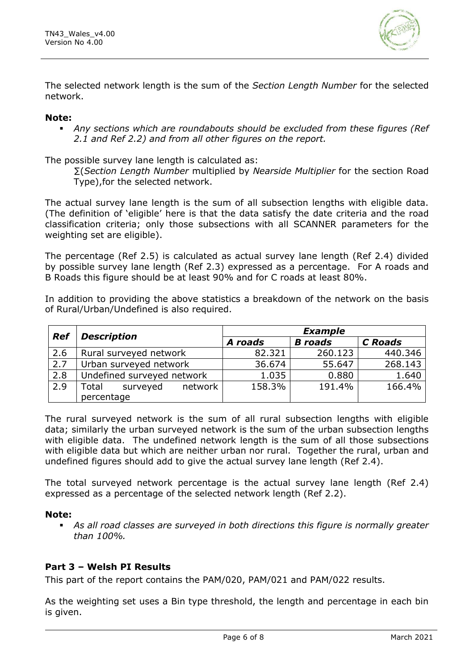

The selected network length is the sum of the *Section Length Number* for the selected network.

#### **Note:**

▪ *Any sections which are roundabouts should be excluded from these figures (Ref 2.1 and Ref 2.2) and from all other figures on the report.*

The possible survey lane length is calculated as:

∑(*Section Length Number* multiplied by *Nearside Multiplier* for the section Road Type),for the selected network.

The actual survey lane length is the sum of all subsection lengths with eligible data. (The definition of 'eligible' here is that the data satisfy the date criteria and the road classification criteria; only those subsections with all SCANNER parameters for the weighting set are eligible).

The percentage (Ref 2.5) is calculated as actual survey lane length (Ref 2.4) divided by possible survey lane length (Ref 2.3) expressed as a percentage. For A roads and B Roads this figure should be at least 90% and for C roads at least 80%.

In addition to providing the above statistics a breakdown of the network on the basis of Rural/Urban/Undefined is also required.

|            |                              | <b>Example</b> |                |                |  |  |
|------------|------------------------------|----------------|----------------|----------------|--|--|
| <b>Ref</b> | <b>Description</b>           | A roads        | <b>B</b> roads | <b>C</b> Roads |  |  |
| 2.6        | Rural surveyed network       | 82.321         | 260.123        | 440.346        |  |  |
| 2.7        | Urban surveyed network       | 36.674         | 55.647         | 268.143        |  |  |
| 2.8        | Undefined surveyed network   | 1.035          | 0.880          | 1.640          |  |  |
| 2.9        | Total<br>network<br>surveyed | 158.3%         | 191.4%         | 166.4%         |  |  |
|            | percentage                   |                |                |                |  |  |

The rural surveyed network is the sum of all rural subsection lengths with eligible data; similarly the urban surveyed network is the sum of the urban subsection lengths with eligible data. The undefined network length is the sum of all those subsections with eligible data but which are neither urban nor rural. Together the rural, urban and undefined figures should add to give the actual survey lane length (Ref 2.4).

The total surveyed network percentage is the actual survey lane length (Ref 2.4) expressed as a percentage of the selected network length (Ref 2.2).

#### **Note:**

▪ *As all road classes are surveyed in both directions this figure is normally greater than 100%.* 

#### **Part 3 – Welsh PI Results**

This part of the report contains the PAM/020, PAM/021 and PAM/022 results.

As the weighting set uses a Bin type threshold, the length and percentage in each bin is given.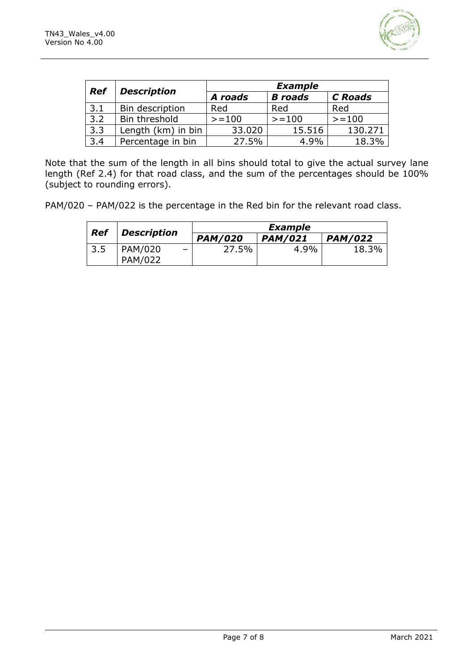

| <b>Ref</b> | <b>Description</b> | <b>Example</b> |                |                |  |  |
|------------|--------------------|----------------|----------------|----------------|--|--|
|            |                    | A roads        | <b>B</b> roads | <b>C</b> Roads |  |  |
| 3.1        | Bin description    | Red            | Red            | Red            |  |  |
| 3.2        | Bin threshold      | $>=100$        | $>=100$        | $>=100$        |  |  |
| 3.3        | Length (km) in bin | 33.020         | 15.516         | 130.271        |  |  |
| 3.4        | Percentage in bin  | 27.5%          | 4.9%           | 18.3%          |  |  |

Note that the sum of the length in all bins should total to give the actual survey lane length (Ref 2.4) for that road class, and the sum of the percentages should be 100% (subject to rounding errors).

PAM/020 – PAM/022 is the percentage in the Red bin for the relevant road class.

|                           |                                     | <b>Example</b> |                |                |  |  |
|---------------------------|-------------------------------------|----------------|----------------|----------------|--|--|
| Ref<br><b>Description</b> |                                     | <b>PAM/020</b> | <b>PAM/021</b> | <b>PAM/022</b> |  |  |
| 3.5                       | PAM/020<br>$\overline{\phantom{0}}$ | 27.5%          | 4.9%           | 18.3%          |  |  |
|                           | <b>PAM/022</b>                      |                |                |                |  |  |